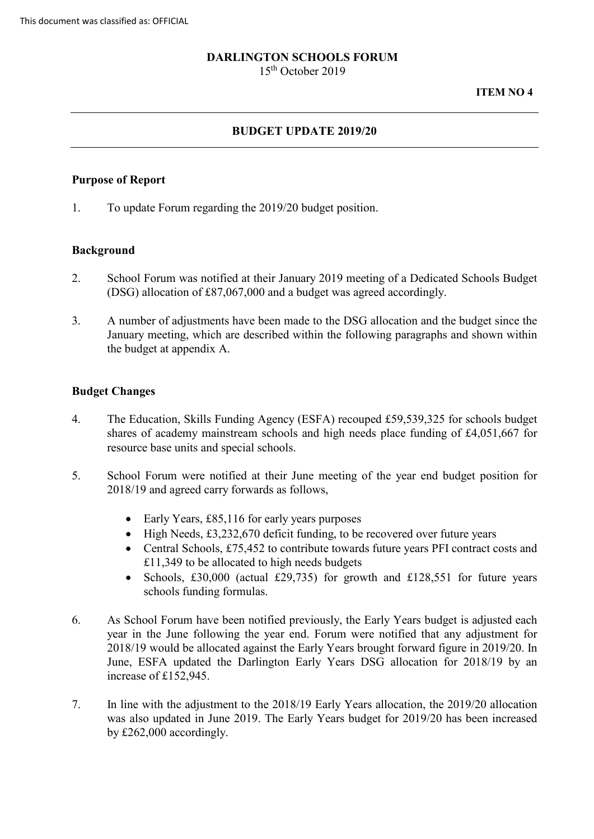# **DARLINGTON SCHOOLS FORUM**

15th October 2019

#### **ITEM NO 4**

# **BUDGET UPDATE 2019/20**

#### **Purpose of Report**

1. To update Forum regarding the 2019/20 budget position.

## **Background**

- 2. School Forum was notified at their January 2019 meeting of a Dedicated Schools Budget (DSG) allocation of £87,067,000 and a budget was agreed accordingly.
- 3. A number of adjustments have been made to the DSG allocation and the budget since the January meeting, which are described within the following paragraphs and shown within the budget at appendix A.

## **Budget Changes**

- 4. The Education, Skills Funding Agency (ESFA) recouped £59,539,325 for schools budget shares of academy mainstream schools and high needs place funding of £4,051,667 for resource base units and special schools.
- 5. School Forum were notified at their June meeting of the year end budget position for 2018/19 and agreed carry forwards as follows,
	- Early Years, £85,116 for early years purposes
	- High Needs, £3,232,670 deficit funding, to be recovered over future years
	- Central Schools, £75,452 to contribute towards future years PFI contract costs and £11,349 to be allocated to high needs budgets
	- • Schools, £30,000 (actual £29,735) for growth and £128,551 for future years schools funding formulas.
- 6. As School Forum have been notified previously, the Early Years budget is adjusted each year in the June following the year end. Forum were notified that any adjustment for June, ESFA updated the Darlington Early Years DSG allocation for 2018/19 by an 2018/19 would be allocated against the Early Years brought forward figure in 2019/20. In increase of £152,945.
- 7. In line with the adjustment to the 2018/19 Early Years allocation, the 2019/20 allocation was also updated in June 2019. The Early Years budget for 2019/20 has been increased by £262,000 accordingly.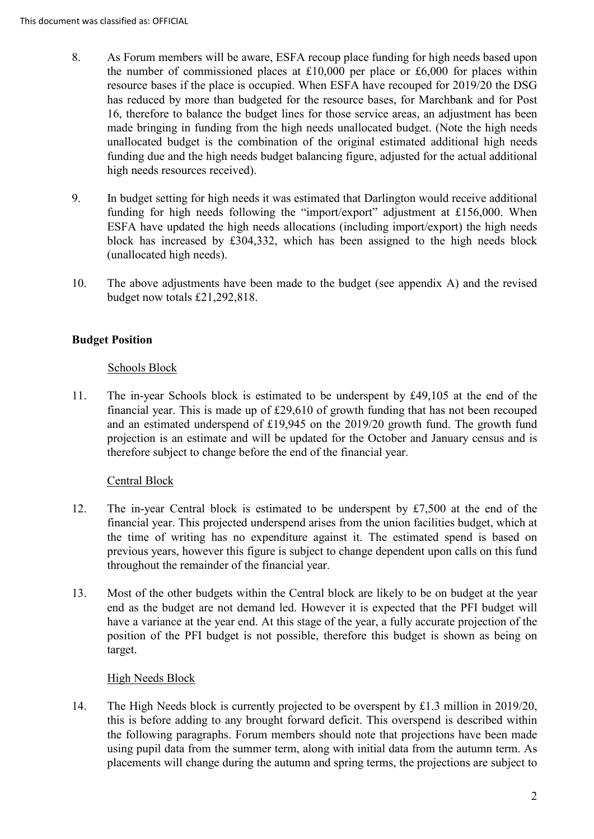- 8. As Forum members will be aware, ESFA recoup place funding for high needs based upon the number of commissioned places at  $£10,000$  per place or  $£6,000$  for places within resource bases if the place is occupied. When ESFA have recouped for 2019/20 the DSG has reduced by more than budgeted for the resource bases, for Marchbank and for Post 16, therefore to balance the budget lines for those service areas, an adjustment has been made bringing in funding from the high needs unallocated budget. (Note the high needs unallocated budget is the combination of the original estimated additional high needs funding due and the high needs budget balancing figure, adjusted for the actual additional high needs resources received).
- funding for high needs following the "import/export" adjustment at £156,000. When ESFA have updated the high needs allocations (including import/export) the high needs 9. In budget setting for high needs it was estimated that Darlington would receive additional block has increased by £304,332, which has been assigned to the high needs block (unallocated high needs).
- 10. The above adjustments have been made to the budget (see appendix A) and the revised budget now totals £21,292,818.

# **Budget Position**

## Schools Block

 financial year. This is made up of £29,610 of growth funding that has not been recouped projection is an estimate and will be updated for the October and January census and is 11. The in-year Schools block is estimated to be underspent by £49,105 at the end of the and an estimated underspend of £19,945 on the 2019/20 growth fund. The growth fund therefore subject to change before the end of the financial year.

# Central Block

- 12. The in-year Central block is estimated to be underspent by £7,500 at the end of the the time of writing has no expenditure against it. The estimated spend is based on financial year. This projected underspend arises from the union facilities budget, which at previous years, however this figure is subject to change dependent upon calls on this fund throughout the remainder of the financial year.
- have a variance at the year end. At this stage of the year, a fully accurate projection of the position of the PFI budget is not possible, therefore this budget is shown as being on 13. Most of the other budgets within the Central block are likely to be on budget at the year end as the budget are not demand led. However it is expected that the PFI budget will target.

# High Needs Block

 the following paragraphs. Forum members should note that projections have been made using pupil data from the summer term, along with initial data from the autumn term. As 14. The High Needs block is currently projected to be overspent by £1.3 million in 2019/20, this is before adding to any brought forward deficit. This overspend is described within placements will change during the autumn and spring terms, the projections are subject to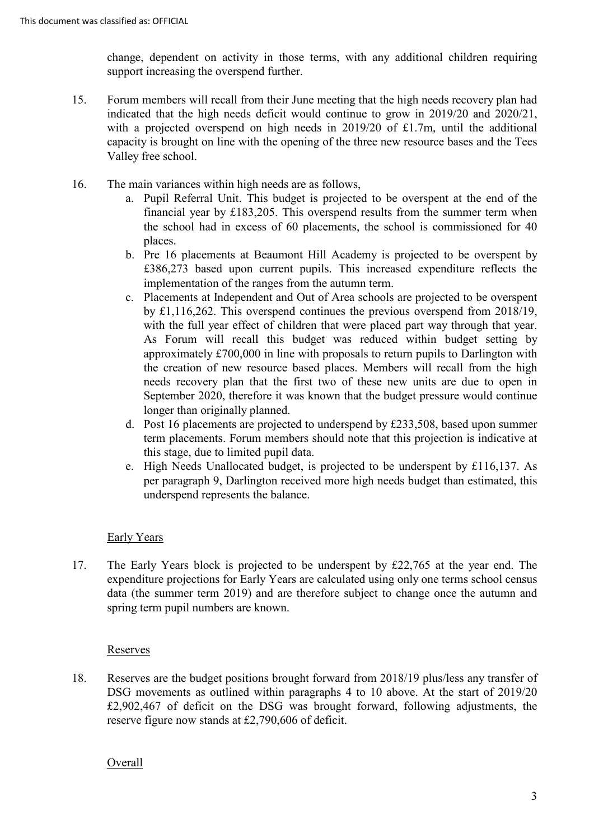change, dependent on activity in those terms, with any additional children requiring support increasing the overspend further.

- Valley free school. 15. Forum members will recall from their June meeting that the high needs recovery plan had indicated that the high needs deficit would continue to grow in 2019/20 and 2020/21, with a projected overspend on high needs in 2019/20 of £1.7m, until the additional capacity is brought on line with the opening of the three new resource bases and the Tees
- 16. The main variances within high needs are as follows,
	- a. Pupil Referral Unit. This budget is projected to be overspent at the end of the the school had in excess of 60 placements, the school is commissioned for 40 financial year by £183,205. This overspend results from the summer term when places.
	- b. Pre 16 placements at Beaumont Hill Academy is projected to be overspent by £386,273 based upon current pupils. This increased expenditure reflects the implementation of the ranges from the autumn term.
	- the creation of new resource based places. Members will recall from the high needs recovery plan that the first two of these new units are due to open in September 2020, therefore it was known that the budget pressure would continue c. Placements at Independent and Out of Area schools are projected to be overspent by £1,116,262. This overspend continues the previous overspend from 2018/19, with the full year effect of children that were placed part way through that year. As Forum will recall this budget was reduced within budget setting by approximately £700,000 in line with proposals to return pupils to Darlington with longer than originally planned.
	- d. Post 16 placements are projected to underspend by £233,508, based upon summer term placements. Forum members should note that this projection is indicative at this stage, due to limited pupil data.
	- e. High Needs Unallocated budget, is projected to be underspent by £116,137. As per paragraph 9, Darlington received more high needs budget than estimated, this underspend represents the balance.

# Early Years

 data (the summer term 2019) and are therefore subject to change once the autumn and 17. The Early Years block is projected to be underspent by £22,765 at the year end. The expenditure projections for Early Years are calculated using only one terms school census spring term pupil numbers are known.

#### Reserves

 18. Reserves are the budget positions brought forward from 2018/19 plus/less any transfer of £2,902,467 of deficit on the DSG was brought forward, following adjustments, the DSG movements as outlined within paragraphs 4 to 10 above. At the start of 2019/20 reserve figure now stands at £2,790,606 of deficit.

#### Overall